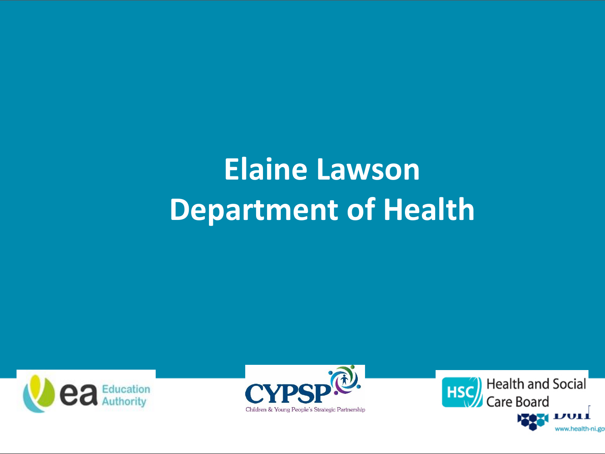### **Elaine Lawson Department of Health**





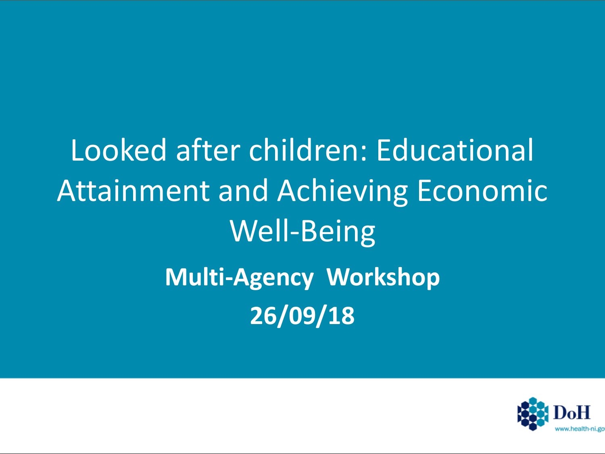Looked after children: Educational Attainment and Achieving Economic Well-Being **Multi-Agency Workshop 26/09/18**

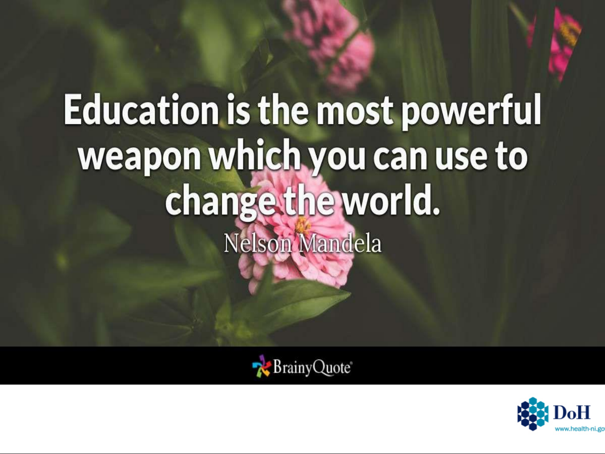# **Education is the most powerful** weapon which you can use to change the world. Nelson Mandela



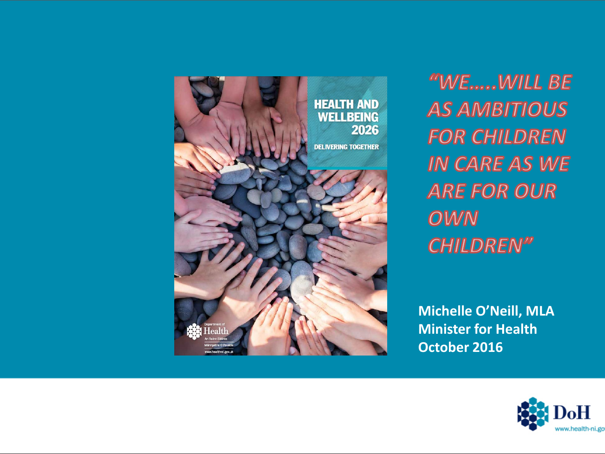

"WE......WILL BE **AS AMBITIOUS FOR CHILDREN IN CARE AS WE ARE FOR OUR** OWN **CHILDREN"** 

**Michelle O'Neill, MLA Minister for Health October 2016**

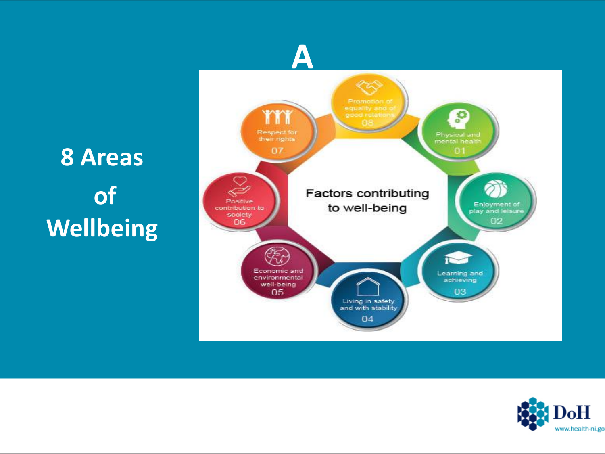#### **8 Areas of Wellbeing**



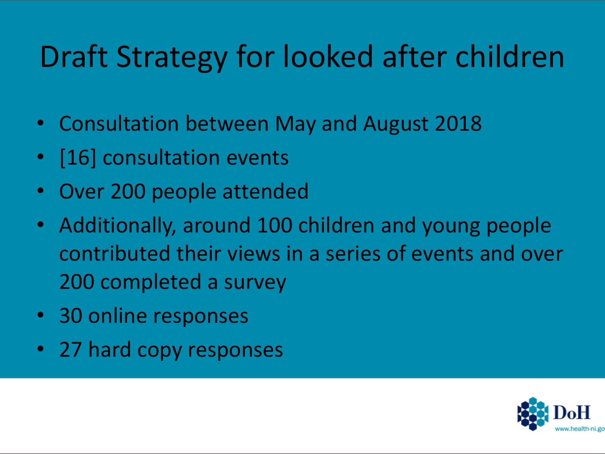#### Draft Strategy for looked after children

- Consultation between May and August 2018
- [16] consultation events
- Over 200 people attended
- Additionally, around 100 children and young people contributed their views in a series of events and over 200 completed a survey
- 30 online responses
- 27 hard copy responses

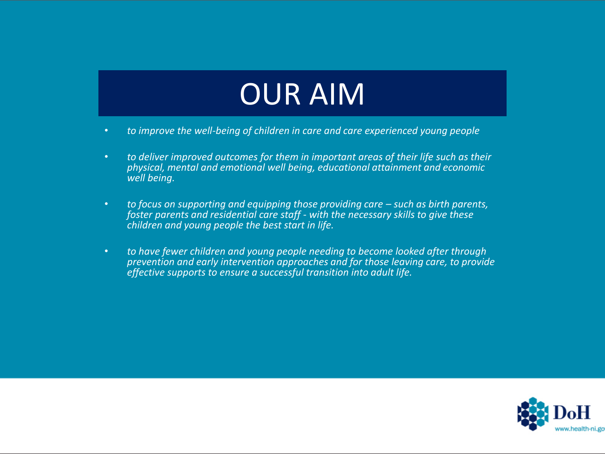#### OUR AIM

- *to improve the well-being of children in care and care experienced young people*
- *to deliver improved outcomes for them in important areas of their life such as their physical, mental and emotional well being, educational attainment and economic well being.*
- to focus on supporting and equipping those providing care such as birth parents, *foster parents and residential care staff - with the necessary skills to give these children and young people the best start in life.*
- *to have fewer children and young people needing to become looked after through prevention and early intervention approaches and for those leaving care, to provide effective supports to ensure a successful transition into adult life.*

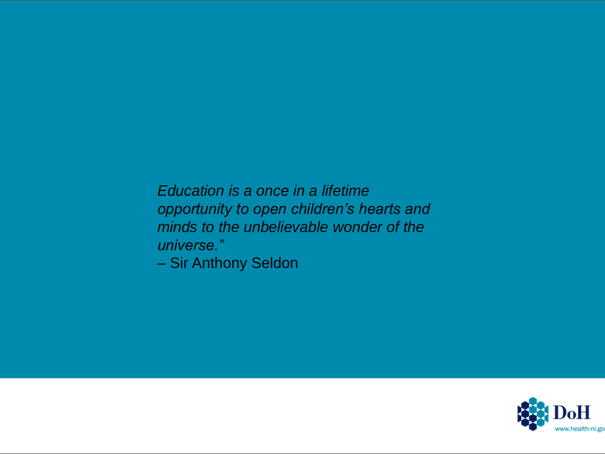*Education is a once in a lifetime opportunity to open children's hearts and minds to the unbelievable wonder of the universe."*

– Sir Anthony Seldon

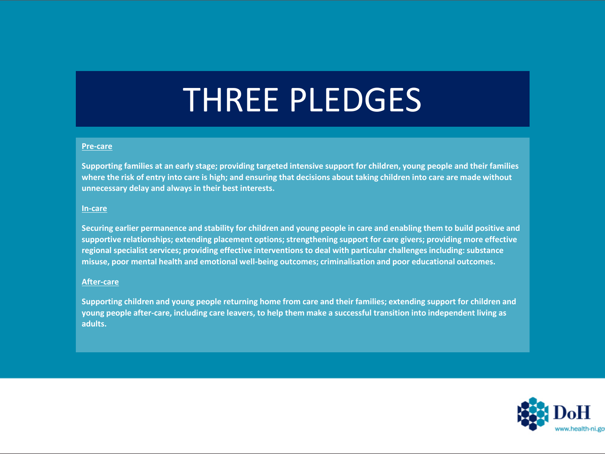### THREE PLEDGES

#### **Pre-care**

**Supporting families at an early stage; providing targeted intensive support for children, young people and their families where the risk of entry into care is high; and ensuring that decisions about taking children into care are made without unnecessary delay and always in their best interests.**

#### **In-care**

**Securing earlier permanence and stability for children and young people in care and enabling them to build positive and supportive relationships; extending placement options; strengthening support for care givers; providing more effective regional specialist services; providing effective interventions to deal with particular challenges including: substance misuse, poor mental health and emotional well-being outcomes; criminalisation and poor educational outcomes.**

#### **After-care**

**Supporting children and young people returning home from care and their families; extending support for children and young people after-care, including care leavers, to help them make a successful transition into independent living as adults.**

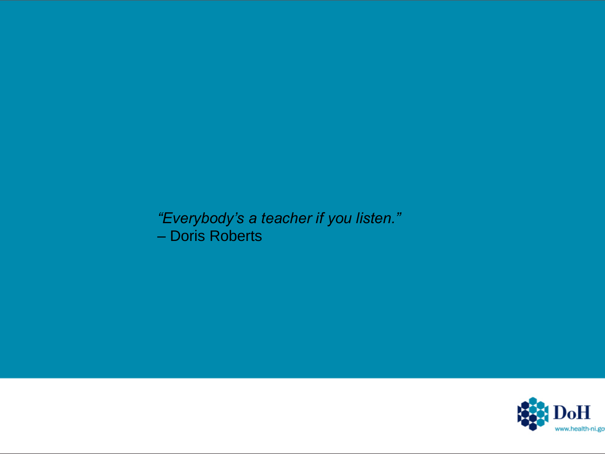*"Everybody's a teacher if you listen."* – Doris Roberts

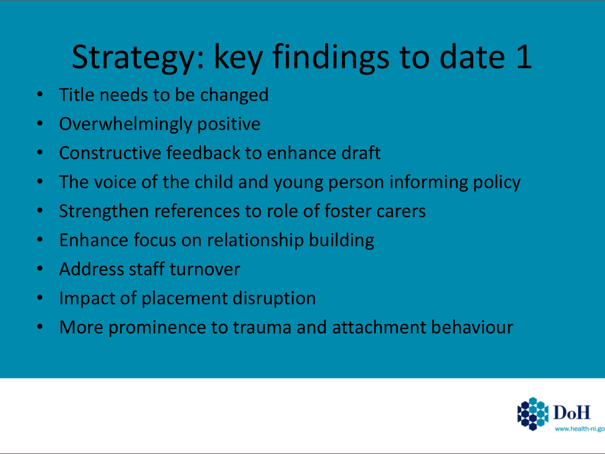# Strategy: key findings to date 1

- Title needs to be changed
- Overwhelmingly positive
- Constructive feedback to enhance draft
- The voice of the child and young person informing policy
- Strengthen references to role of foster carers
- Enhance focus on relationship building
- Address staff turnover
- Impact of placement disruption
- More prominence to trauma and attachment behaviour

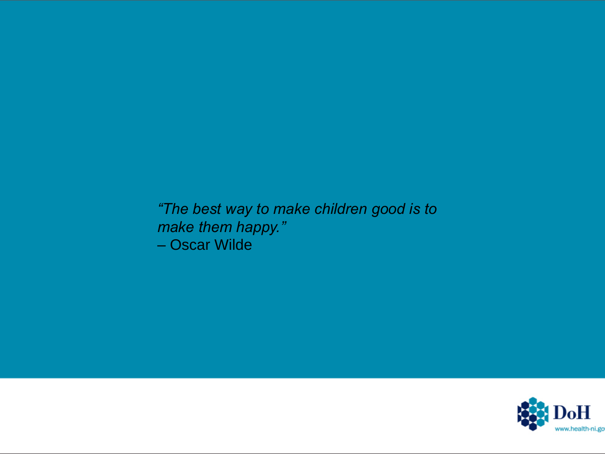*"The best way to make children good is to make them happy."* – Oscar Wilde

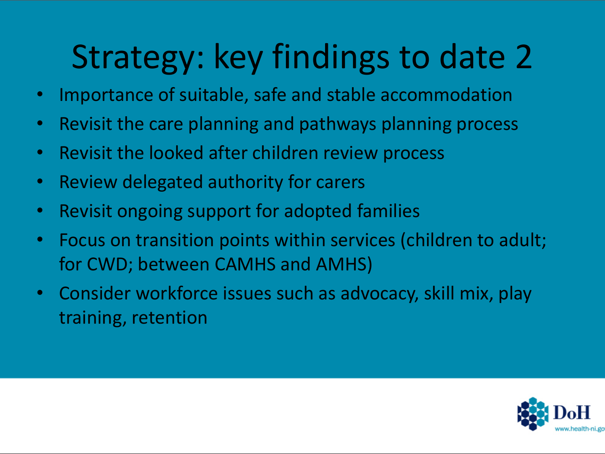# Strategy: key findings to date 2

- Importance of suitable, safe and stable accommodation
- Revisit the care planning and pathways planning process
- Revisit the looked after children review process
- Review delegated authority for carers
- Revisit ongoing support for adopted families
- Focus on transition points within services (children to adult; for CWD; between CAMHS and AMHS)
- Consider workforce issues such as advocacy, skill mix, play training, retention

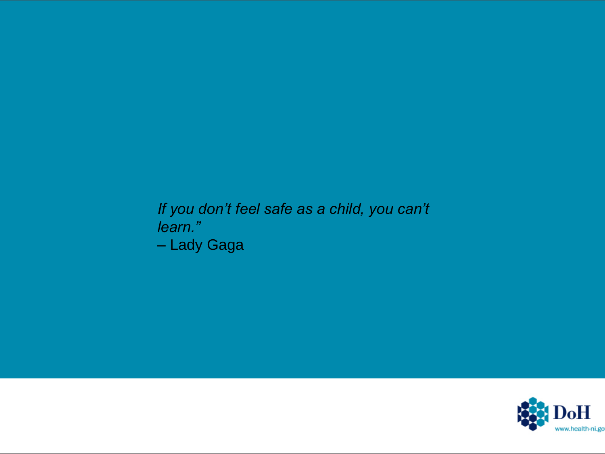#### *If you don't feel safe as a child, you can't learn."* – Lady Gaga

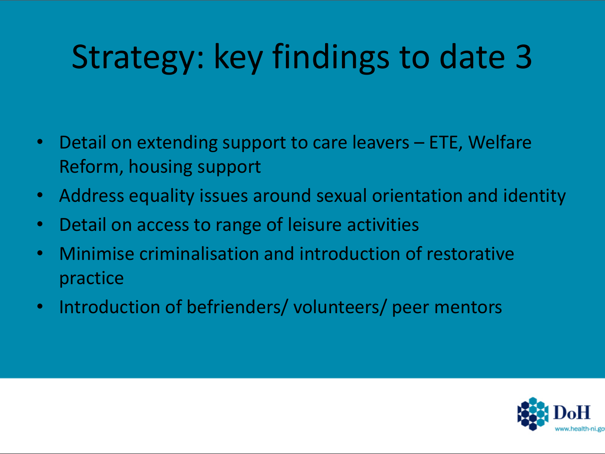# Strategy: key findings to date 3

- Detail on extending support to care leavers ETE, Welfare Reform, housing support
- Address equality issues around sexual orientation and identity
- Detail on access to range of leisure activities
- Minimise criminalisation and introduction of restorative practice
- Introduction of befrienders/ volunteers/ peer mentors

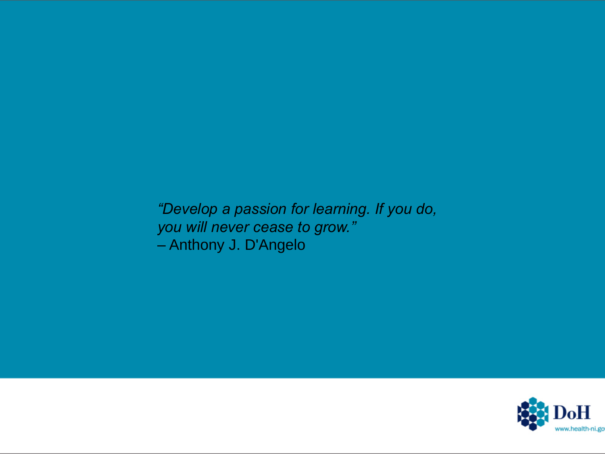*"Develop a passion for learning. If you do, you will never cease to grow."* – Anthony J. D'Angelo

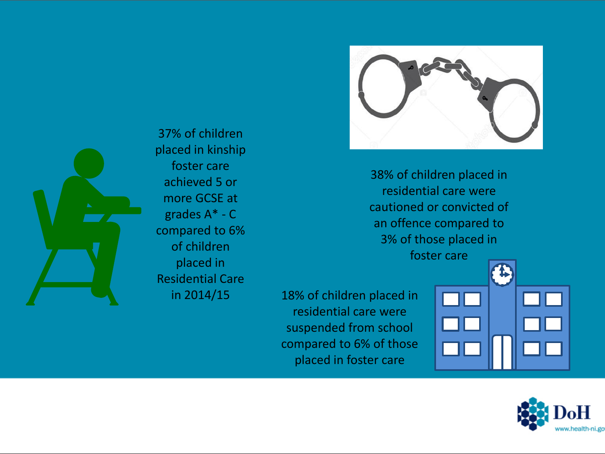

38% of children placed in residential care were cautioned or convicted of an offence compared to 3% of those placed in foster care

in 2014/15 18% of children placed in residential care were suspended from school compared to 6% of those placed in foster care





37% of children placed in kinship foster care achieved 5 or more GCSE at grades A\* - C compared to 6% of children placed in Residential Care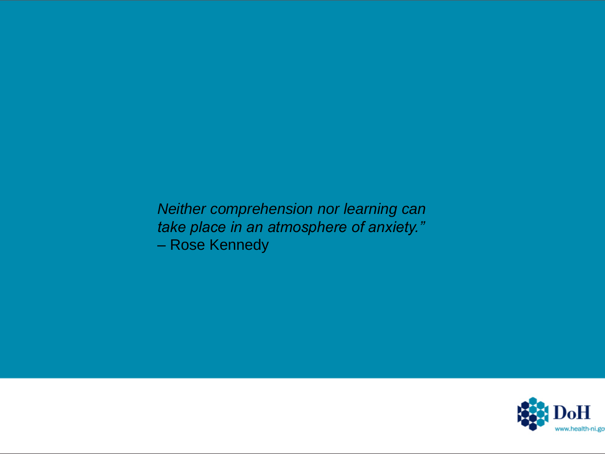*Neither comprehension nor learning can take place in an atmosphere of anxiety."* – Rose Kennedy

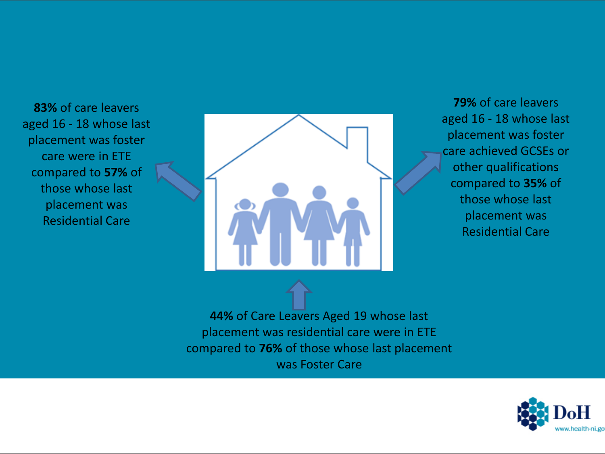**83%** of care leavers aged 16 - 18 whose last placement was foster care were in ETE compared to **57%** of those whose last placement was Residential Care



**79%** of care leavers aged 16 - 18 whose last placement was foster care achieved GCSEs or other qualifications compared to **35%** of those whose last placement was Residential Care

**44%** of Care Leavers Aged 19 whose last placement was residential care were in ETE compared to **76%** of those whose last placement was Foster Care

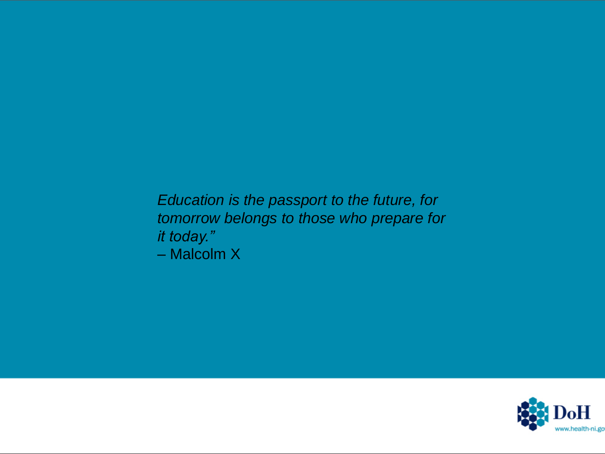*Education is the passport to the future, for tomorrow belongs to those who prepare for it today."* – Malcolm X

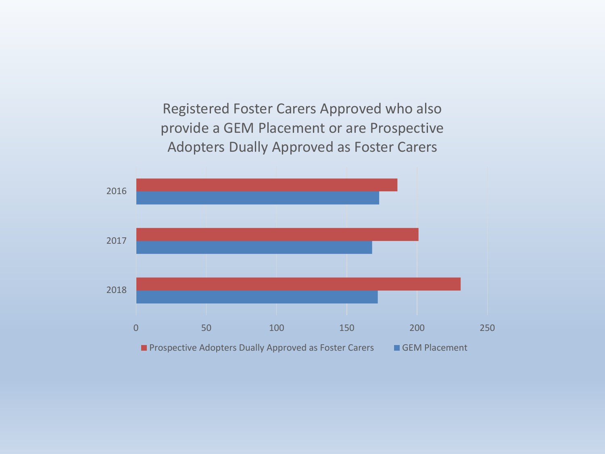Registered Foster Carers Approved who also provide a GEM Placement or are Prospective Adopters Dually Approved as Foster Carers

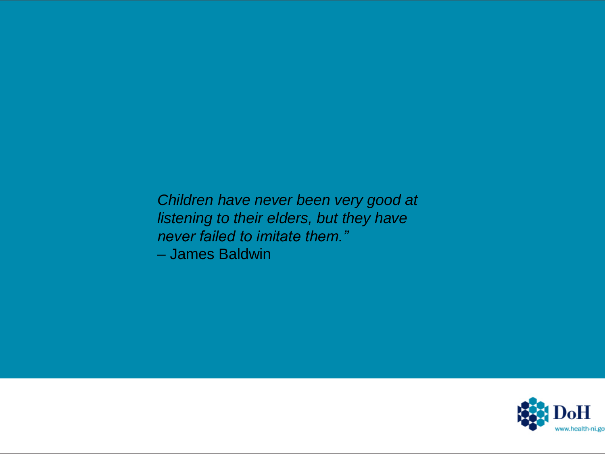*Children have never been very good at listening to their elders, but they have never failed to imitate them."* – James Baldwin

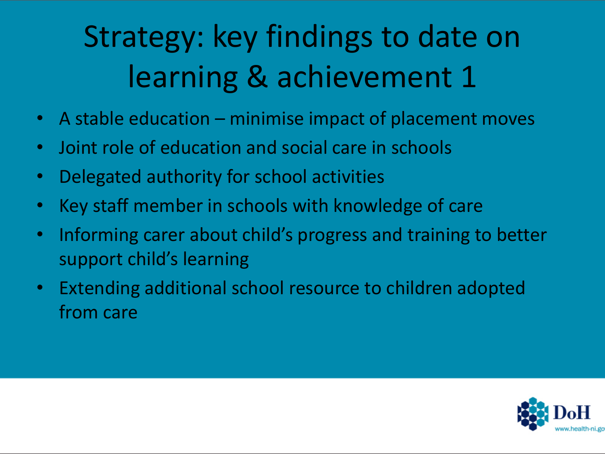# Strategy: key findings to date on learning & achievement 1

- A stable education minimise impact of placement moves
- Joint role of education and social care in schools
- Delegated authority for school activities
- Key staff member in schools with knowledge of care
- Informing carer about child's progress and training to better support child's learning
- Extending additional school resource to children adopted from care

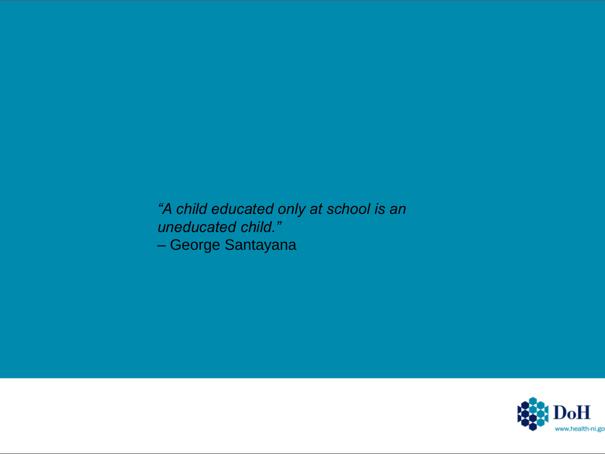*"A child educated only at school is an uneducated child."* – George Santayana

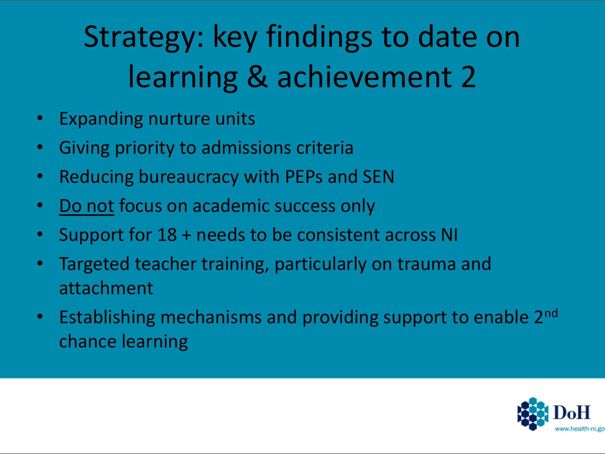# Strategy: key findings to date on learning & achievement 2

- Expanding nurture units
- Giving priority to admissions criteria
- Reducing bureaucracy with PEPs and SEN
- Do not focus on academic success only
- Support for 18 + needs to be consistent across NI
- Targeted teacher training, particularly on trauma and attachment
- Establishing mechanisms and providing support to enable 2<sup>nd</sup> chance learning

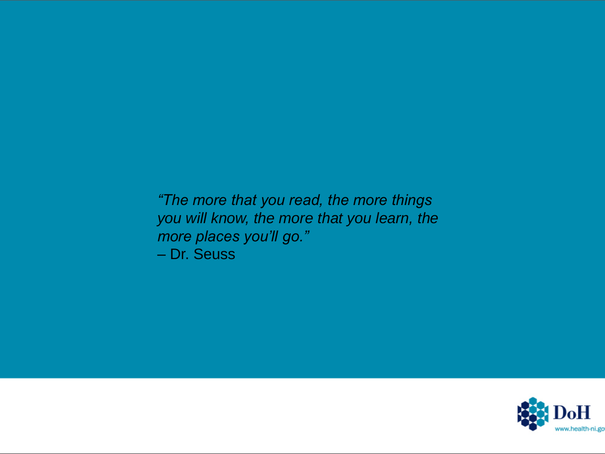*"The more that you read, the more things you will know, the more that you learn, the more places you'll go."* – Dr. Seuss

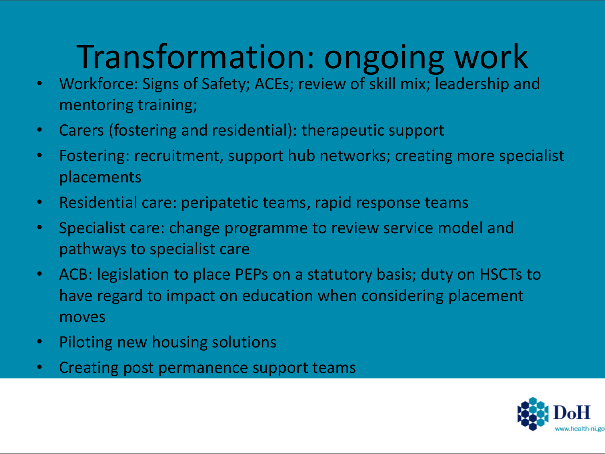# Transformation: ongoing work

- Workforce: Signs of Safety; ACEs; review of skill mix; leadership and mentoring training;
- Carers (fostering and residential): therapeutic support
- Fostering: recruitment, support hub networks; creating more specialist placements
- Residential care: peripatetic teams, rapid response teams
- Specialist care: change programme to review service model and pathways to specialist care
- ACB: legislation to place PEPs on a statutory basis; duty on HSCTs to have regard to impact on education when considering placement moves
- Piloting new housing solutions
- Creating post permanence support teams

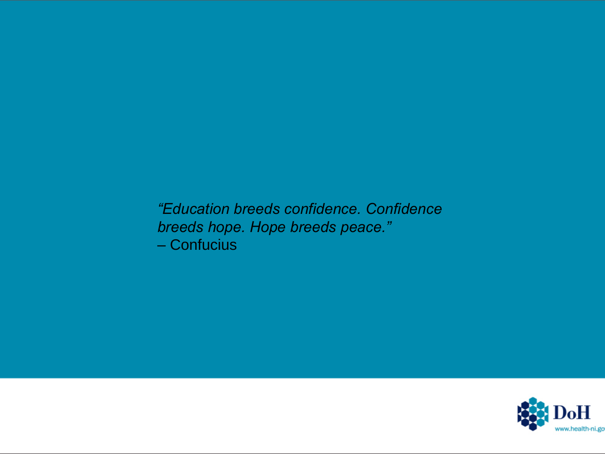*"Education breeds confidence. Confidence breeds hope. Hope breeds peace."* – Confucius